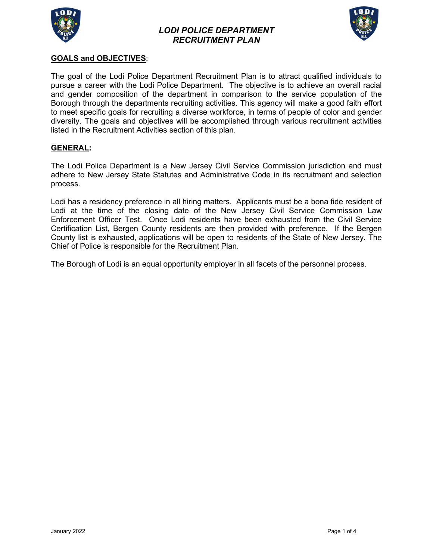

## *LODI POLICE DEPARTMENT RECRUITMENT PLAN*



### **GOALS and OBJECTIVES**:

The goal of the Lodi Police Department Recruitment Plan is to attract qualified individuals to pursue a career with the Lodi Police Department. The objective is to achieve an overall racial and gender composition of the department in comparison to the service population of the Borough through the departments recruiting activities. This agency will make a good faith effort to meet specific goals for recruiting a diverse workforce, in terms of people of color and gender diversity. The goals and objectives will be accomplished through various recruitment activities listed in the Recruitment Activities section of this plan.

#### **GENERAL:**

The Lodi Police Department is a New Jersey Civil Service Commission jurisdiction and must adhere to New Jersey State Statutes and Administrative Code in its recruitment and selection process.

Lodi has a residency preference in all hiring matters. Applicants must be a bona fide resident of Lodi at the time of the closing date of the New Jersey Civil Service Commission Law Enforcement Officer Test. Once Lodi residents have been exhausted from the Civil Service Certification List, Bergen County residents are then provided with preference. If the Bergen County list is exhausted, applications will be open to residents of the State of New Jersey. The Chief of Police is responsible for the Recruitment Plan.

The Borough of Lodi is an equal opportunity employer in all facets of the personnel process.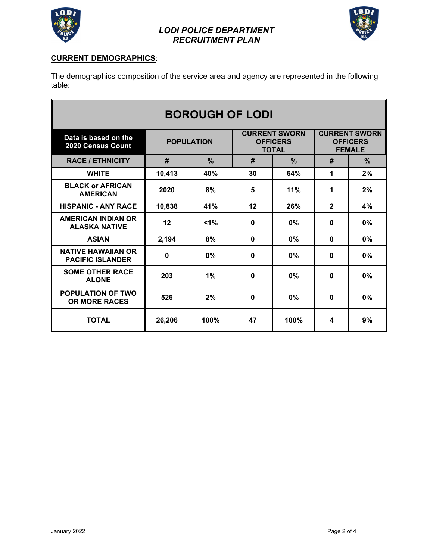



## **CURRENT DEMOGRAPHICS**:

The demographics composition of the service area and agency are represented in the following table:

| <b>BOROUGH OF LODI</b>                               |                   |               |                                                         |               |                                                          |               |
|------------------------------------------------------|-------------------|---------------|---------------------------------------------------------|---------------|----------------------------------------------------------|---------------|
| Data is based on the<br>2020 Census Count            | <b>POPULATION</b> |               | <b>CURRENT SWORN</b><br><b>OFFICERS</b><br><b>TOTAL</b> |               | <b>CURRENT SWORN</b><br><b>OFFICERS</b><br><b>FEMALE</b> |               |
| <b>RACE / ETHNICITY</b>                              | #                 | $\frac{0}{0}$ | #                                                       | $\frac{9}{6}$ | #                                                        | $\frac{9}{6}$ |
| <b>WHITE</b>                                         | 10,413            | 40%           | 30                                                      | 64%           | 1                                                        | 2%            |
| <b>BLACK or AFRICAN</b><br><b>AMERICAN</b>           | 2020              | 8%            | 5                                                       | 11%           | 1                                                        | 2%            |
| <b>HISPANIC - ANY RACE</b>                           | 10,838            | 41%           | 12                                                      | 26%           | $\overline{2}$                                           | 4%            |
| <b>AMERICAN INDIAN OR</b><br><b>ALASKA NATIVE</b>    | 12                | $1\%$         | 0                                                       | 0%            | $\mathbf 0$                                              | 0%            |
| <b>ASIAN</b>                                         | 2,194             | 8%            | $\bf{0}$                                                | 0%            | $\mathbf{0}$                                             | $0\%$         |
| <b>NATIVE HAWAIIAN OR</b><br><b>PACIFIC ISLANDER</b> | $\mathbf 0$       | 0%            | 0                                                       | $0\%$         | $\mathbf{0}$                                             | 0%            |
| <b>SOME OTHER RACE</b><br><b>ALONE</b>               | 203               | 1%            | 0                                                       | 0%            | $\mathbf{0}$                                             | 0%            |
| <b>POPULATION OF TWO</b><br><b>OR MORE RACES</b>     | 526               | 2%            | 0                                                       | 0%            | 0                                                        | 0%            |
| <b>TOTAL</b>                                         | 26,206            | 100%          | 47                                                      | 100%          | 4                                                        | 9%            |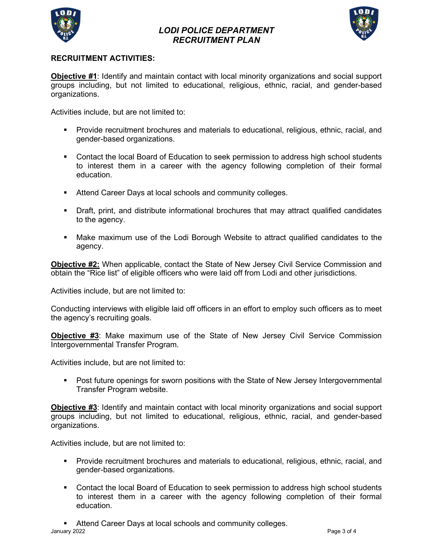

## *LODI POLICE DEPARTMENT RECRUITMENT PLAN*



### **RECRUITMENT ACTIVITIES:**

**Objective #1**: Identify and maintain contact with local minority organizations and social support groups including, but not limited to educational, religious, ethnic, racial, and gender-based organizations.

Activities include, but are not limited to:

- Provide recruitment brochures and materials to educational, religious, ethnic, racial, and gender-based organizations.
- Contact the local Board of Education to seek permission to address high school students to interest them in a career with the agency following completion of their formal education.
- **Attend Career Days at local schools and community colleges.**
- Draft, print, and distribute informational brochures that may attract qualified candidates to the agency.
- Make maximum use of the Lodi Borough Website to attract qualified candidates to the agency.

**Objective #2:** When applicable, contact the State of New Jersey Civil Service Commission and obtain the "Rice list" of eligible officers who were laid off from Lodi and other jurisdictions.

Activities include, but are not limited to:

Conducting interviews with eligible laid off officers in an effort to employ such officers as to meet the agency's recruiting goals.

**Objective #3**: Make maximum use of the State of New Jersey Civil Service Commission Intergovernmental Transfer Program.

Activities include, but are not limited to:

**Post future openings for sworn positions with the State of New Jersey Intergovernmental** Transfer Program website.

**Objective #3**: Identify and maintain contact with local minority organizations and social support groups including, but not limited to educational, religious, ethnic, racial, and gender-based organizations.

Activities include, but are not limited to:

- Provide recruitment brochures and materials to educational, religious, ethnic, racial, and gender-based organizations.
- Contact the local Board of Education to seek permission to address high school students to interest them in a career with the agency following completion of their formal education.

January 2022 Page 3 of 4 Attend Career Days at local schools and community colleges.